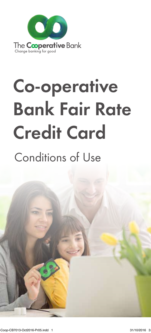

# Co-operative Bank Fair Rate Credit Card

# Conditions of Use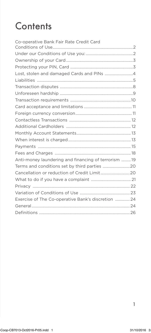# **Contents**

| Co-operative Bank Fair Rate Credit Card             |  |
|-----------------------------------------------------|--|
|                                                     |  |
|                                                     |  |
|                                                     |  |
|                                                     |  |
|                                                     |  |
|                                                     |  |
|                                                     |  |
|                                                     |  |
|                                                     |  |
|                                                     |  |
|                                                     |  |
|                                                     |  |
|                                                     |  |
|                                                     |  |
|                                                     |  |
|                                                     |  |
| Anti-money laundering and financing of terrorism 19 |  |
| Terms and conditions set by third parties 20        |  |
|                                                     |  |
|                                                     |  |
|                                                     |  |
|                                                     |  |
| Exercise of The Co-operative Bank's discretion  24  |  |
|                                                     |  |
|                                                     |  |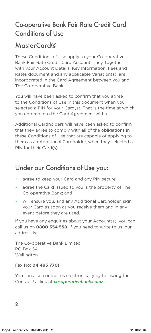### Co-operative Bank Fair Rate Credit Card Conditions of Use

### MasterCard®

These Conditions of Use apply to your Co-operative Bank Fair Rate Credit Card Account. They, together with your Account Details, Key Information, Fees and Rates document and any applicable Variation(s), are incorporated in the Card Agreement between you and The Co-operative Bank.

You will have been asked to confirm that you agree to the Conditions of Use in this document when you selected a PIN for your Card(s). That is the time at which you entered into the Card Agreement with us.

Additional Cardholders will have been asked to confirm that they agree to comply with all of the obligations in these Conditions of Use that are capable of applying to them as an Additional Cardholder, when they selected a PIN for their Card(s).

### Under our Conditions of Use you:

- agree to keep your Card and any PIN secure;
- agree the Card issued to you is the property of The Co-operative Bank; and
- will ensure you, and any Additional Cardholder, sign your Card as soon as you receive them and in any event before they are used.

If you have any enquiries about your Account(s), you can call us on **0800 554 558**. If you need to write to us, our address is:

The Co-operative Bank Limited PO Box 54 Wellington

Fax No: **04 495 7701**

You can also contact us electronically by following the Contact Us link at *co-operativebank.co.nz*.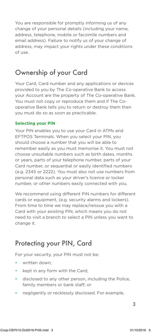You are responsible for promptly informing us of any change of your personal details (including your name, address, telephone, mobile or facsimile numbers and email address). Failure to notify us of your change of address, may impact your rights under these conditions of use.

### Ownership of your Card

Your Card, Card number and any applications or devices provided to you by The Co-operative Bank to access your Account are the property of The Co-operative Bank. You must not copy or reproduce them and if The Cooperative Bank tells you to return or destroy them then you must do so as soon as practicable.

#### **Selecting your PIN**

Your PIN enables you to use your Card in ATMs and EFTPOS Terminals. When you select your PIN, you should choose a number that you will be able to remember easily as you must memorise it. You must not choose unsuitable numbers such as birth dates, months or years, parts of your telephone number, parts of your Card number, or sequential or easily identified numbers (e.g. 2345 or 2222). You must also not use numbers from personal data such as your driver's licence or locker number, or other numbers easily connected with you.

We recommend using different PIN numbers for different cards or equipment, (e.g. security alarms and lockers). From time to time we may replace/reissue you with a Card with your existing PIN, which means you do not need to visit a branch to select a PIN unless you want to change it.

### Protecting your PIN, Card

For your security, your PIN must not be:

- written down:
- kept in any form with the Card;
- disclosed to any other person, including the Police, family members or bank staff; or
- negligently or recklessly disclosed. For example,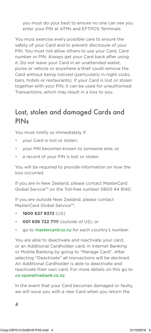you must do your best to ensure no one can see you enter your PIN at ATMs and EFTPOS Terminals.

You must exercise every possible care to ensure the safety of your Card and to prevent disclosure of your PIN. You must not allow others to use your Card, Card number or PIN. Always get your Card back after using it. Do not leave your Card in an unattended wallet, purse or vehicle or anywhere a thief could remove the Card without being noticed (particularly in night clubs, bars, hotels or restaurants). If your Card is lost or stolen together with your PIN, it can be used for unauthorised Transactions, which may result in a loss to you.

### Lost, stolen and damaged Cards and **PIN<sub>s</sub>**

You must notify us immediately if:

- your Card is lost or stolen;
- your PIN becomes known to someone else; or
- a record of your PIN is lost or stolen.

You will be required to provide information on how the loss occurred.

If you are in New Zealand, please contact MasterCard Global Service™ on the Toll-free number 0800 44 9140.

If you are outside New Zealand, please contact MasterCard Global Service™:

- **1800 627 8372** (US)
- **001 636 722 7111** (outside of US), or
- go to *mastercard.co.nz* for each country's number.

You are able to deactivate and reactivate your card, or an Additional Cardholder card, in Internet Banking or Mobile Banking by going to "Manage Card". After selecting "Deactivate" all transactions will be declined. An Additional Cardholder is able to deactivate and reactivate their own card. For more details on this go to *co-operativebank.co.nz*.

In the event that your Card becomes damaged or faulty, we will issue you with a new Card when you return the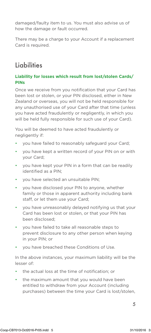damaged/faulty item to us. You must also advise us of how the damage or fault occurred.

There may be a charge to your Account if a replacement Card is required.

### **Liabilities**

#### **Liability for losses which result from lost/stolen Cards/ PINs**

Once we receive from you notification that your Card has been lost or stolen, or your PIN disclosed, either in New Zealand or overseas, you will not be held responsible for any unauthorised use of your Card after that time (unless you have acted fraudulently or negligently, in which you will be held fully responsible for such use of your Card).

You will be deemed to have acted fraudulently or negligently if:

- you have failed to reasonably safeguard your Card;
- you have kept a written record of your PIN on or with your Card;
- you have kept your PIN in a form that can be readily identified as a PIN;
- you have selected an unsuitable PIN;
- you have disclosed your PIN to anyone, whether family or those in apparent authority including bank staff, or let them use your Card;
- you have unreasonably delayed notifying us that your Card has been lost or stolen, or that your PIN has been disclosed;
- you have failed to take all reasonable steps to prevent disclosure to any other person when keying in your PIN; or
- you have breached these Conditions of Use.

In the above instances, your maximum liability will be the lesser of:

- the actual loss at the time of notification; or
- the maximum amount that you would have been entitled to withdraw from your Account (including purchases) between the time your Card is lost/stolen,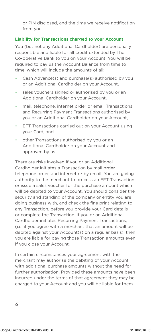or PIN disclosed, and the time we receive notification from you.

#### **Liability for Transactions charged to your Account**

You (but not any Additional Cardholder) are personally responsible and liable for all credit extended by The Co-operative Bank to you on your Account. You will be required to pay us the Account Balance from time to time, which will include the amounts of all:

- Cash Advance(s) and purchase(s) authorised by you or an Additional Cardholder on your Account,
- sales vouchers signed or authorised by you or an Additional Cardholder on your Account,
- mail, telephone, internet order or email Transactions and Recurring Payment Transactions authorised by you or an Additional Cardholder on your Account,
- EFT Transactions carried out on your Account using your Card, and
- other Transactions authorised by you or an Additional Cardholder on your Account and approved by us.

There are risks involved if you or an Additional Cardholder initiates a Transaction by mail order, telephone order, and internet or by email. You are giving authority to the merchant to process an EFT Transaction or issue a sales voucher for the purchase amount which will be debited to your Account. You should consider the security and standing of the company or entity you are doing business with, and check the fine print relating to any Transaction, before you provide your Card details or complete the Transaction. If you or an Additional Cardholder initiates Recurring Payment Transactions, (i.e. if you agree with a merchant that an amount will be debited against your Account(s) on a regular basis), then you are liable for paying those Transaction amounts even if you close your Account.

In certain circumstances your agreement with the merchant may authorise the debiting of your Account with additional purchase amounts without the need for further authorisation. Provided these amounts have been incurred under the terms of that agreement they may be charged to your Account and you will be liable for them.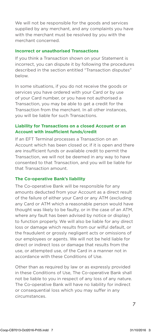We will not be responsible for the goods and services supplied by any merchant, and any complaints you have with the merchant must be resolved by you with the merchant concerned.

#### **Incorrect or unauthorised Transactions**

If you think a Transaction shown on your Statement is incorrect, you can dispute it by following the procedures described in the section entitled "Transaction disputes" below.

In some situations, if you do not receive the goods or services you have ordered with your Card or by use of your Card number, or you have not authorised a Transaction, you may be able to get a credit for the Transaction from the merchant. In all other instances, you will be liable for such Transactions.

#### **Liability for Transactions on a closed Account or an Account with insufficient funds/credit**

If an EFT Terminal processes a Transaction on an Account which has been closed or, if it is open and there are insufficient funds or available credit to permit the Transaction, we will not be deemed in any way to have consented to that Transaction, and you will be liable for that Transaction amount.

#### **The Co-operative Bank's liability**

The Co-operative Bank will be responsible for any amounts deducted from your Account as a direct result of the failure of either your Card or any ATM (excluding any Card or ATM which a reasonable person would have thought was likely to be faulty, or in the case of an ATM, where any fault has been advised by notice or display) to function properly. We will also be liable for any direct loss or damage which results from our wilful default, or the fraudulent or grossly negligent acts or omissions of our employees or agents. We will not be held liable for direct or indirect loss or damage that results from the use, or attempted use, of the Card in a manner not in accordance with these Conditions of Use.

Other than as required by law or as expressly provided in these Conditions of Use, The Co-operative Bank shall not be liable to you in respect of any loss of any nature. The Co-operative Bank will have no liability for indirect or consequential loss which you may suffer in any circumstances.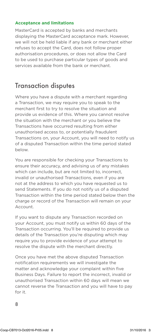#### **Acceptance and limitations**

MasterCard is accepted by banks and merchants displaying the MasterCard acceptance mark. However, we will not be held liable if any bank or merchant either refuses to accept the Card, does not follow proper authorisation procedures, or does not allow the Card to be used to purchase particular types of goods and services available from the bank or merchant.

### Transaction disputes

Where you have a dispute with a merchant regarding a Transaction, we may require you to speak to the merchant first to try to resolve the situation and provide us evidence of this. Where you cannot resolve the situation with the merchant or you believe the Transactions have occurred resulting from either unauthorised access to, or potentially fraudulent Transactions on, your Account, you will need to notify us of a disputed Transaction within the time period stated below.

You are responsible for checking your Transactions to ensure their accuracy, and advising us of any mistakes which can include, but are not limited to, incorrect, invalid or unauthorised Transactions, even if you are not at the address to which you have requested us to send Statements. If you do not notify us of a disputed Transaction within the time period stated below then the charge or record of the Transaction will remain on your Account.

If you want to dispute any Transaction recorded on your Account, you must notify us within 60 days of the Transaction occurring. You'll be required to provide us details of the Transaction you're disputing which may require you to provide evidence of your attempt to resolve the dispute with the merchant directly.

8 Once you have met the above disputed Transaction notification requirements we will investigate the matter and acknowledge your complaint within five Business Days. Failure to report the incorrect, invalid or unauthorised Transaction within 60 days will mean we cannot reverse the Transaction and you will have to pay for it.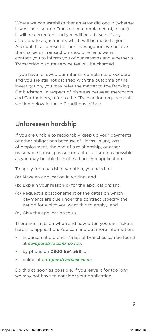Where we can establish that an error did occur (whether it was the disputed Transaction complained of, or not) it will be corrected, and you will be advised of any appropriate adjustments which will be made to your Account. If, as a result of our investigation, we believe the charge or Transaction should remain, we will contact you to inform you of our reasons and whether a Transaction dispute service fee will be charged.

If you have followed our internal complaints procedure and you are still not satisfied with the outcome of the investigation, you may refer the matter to the Banking Ombudsman. In respect of disputes between merchants and Cardholders, refer to the "Transaction requirements" section below in these Conditions of Use.

### Unforeseen hardship

If you are unable to reasonably keep up your payments or other obligations because of illness, injury, loss of employment, the end of a relationship, or other reasonable cause, please contact us as soon as possible as you may be able to make a hardship application.

To apply for a hardship variation, you need to:

- (a) Make an application in writing; and
- (b) Explain your reason(s) for the application; and
- (c) Request a postponement of the dates on which payments are due under the contract (specify the period for which you want this to apply); and

(d) Give the application to us.

There are limits on when and how often you can make a hardship application. You can find out more information:

- in person at a branch (a list of branches can be found at *co-operative bank.co.nz)*;
- by phone on **0800 554 558**; or
- online at *co-operativebank.co.nz*

Do this as soon as possible. If you leave it for too long, we may not have to consider your application.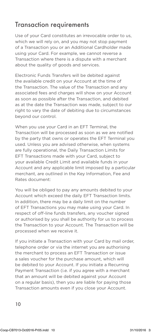### Transaction requirements

Use of your Card constitutes an irrevocable order to us, which we will rely on, and you may not stop payment of a Transaction you or an Additional Cardholder made using your Card. For example, we cannot reverse a Transaction where there is a dispute with a merchant about the quality of goods and services.

Electronic Funds Transfers will be debited against the available credit on your Account at the time of the Transaction. The value of the Transaction and any associated fees and charges will show on your Account as soon as possible after the Transaction, and debited as at the date the Transaction was made, subject to our right to vary the date of debiting due to circumstances beyond our control.

When you use your Card in an EFT Terminal, the Transaction will be processed as soon as we are notified by the party that owns or operates the EFT Terminal you used. Unless you are advised otherwise, when systems are fully operational, the Daily Transaction Limits for EFT Transactions made with your Card, subject to your available Credit Limit and available funds in your Account and any applicable limit imposed by a particular merchant, are outlined in the Key Information, Fee and Rates document:

You will be obliged to pay any amounts debited to your Account which exceed the daily EFT Transaction limits. In addition, there may be a daily limit on the number of EFT Transactions you may make using your Card. In respect of off-line funds transfers, any voucher signed or authorised by you shall be authority for us to process the Transaction to your Account. The Transaction will be processed when we receive it.

If you initiate a Transaction with your Card by mail order, telephone order or via the internet you are authorising the merchant to process an EFT Transaction or issue a sales voucher for the purchase amount, which will be debited to your Account. If you initiate a Recurring Payment Transaction (i.e. if you agree with a merchant that an amount will be debited against your Account on a regular basis), then you are liable for paying those Transaction amounts even if you close your Account.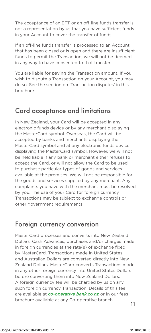The acceptance of an EFT or an off-line funds transfer is not a representation by us that you have sufficient funds in your Account to cover the transfer of funds.

If an off-line funds transfer is processed to an Account that has been closed or is open and there are insufficient funds to permit the Transaction, we will not be deemed in any way to have consented to that transfer.

You are liable for paying the Transaction amount. If you wish to dispute a Transaction on your Account, you may do so. See the section on 'Transaction disputes' in this brochure.

### Card acceptance and limitations

In New Zealand, your Card will be accepted in any electronic funds device or by any merchant displaying the MasterCard symbol. Overseas, the Card will be accepted by banks and merchants displaying the MasterCard symbol and at any electronic funds device displaying the MasterCard symbol. However, we will not be held liable if any bank or merchant either refuses to accept the Card, or will not allow the Card to be used to purchase particular types of goods and services available at the premises. We will not be responsible for the goods and services supplied by any merchant. Any complaints you have with the merchant must be resolved by you. The use of your Card for foreign currency Transactions may be subject to exchange controls or other government requirements.

### Foreign currency conversion

are available at *co-operative bank.co.nz* or in our fees<br>. MasterCard processes and converts into New Zealand Dollars, Cash Advances, purchases and/or charges made in foreign currencies at the rate(s) of exchange fixed by MasterCard. Transactions made in United States and Australian Dollars are converted directly into New Zealand Dollars. MasterCard converts Transactions made in any other foreign currency into United States Dollars before converting them into New Zealand Dollars. A foreign currency fee will be charged by us on any such foreign currency Transaction. Details of this fee brochure available at any Co-operative branch.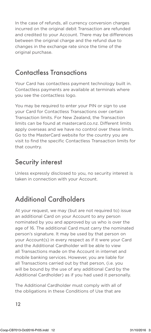In the case of refunds, all currency conversion charges incurred on the original debit Transaction are refunded and credited to your Account. There may be differences between the original charge and the refund due to changes in the exchange rate since the time of the original purchase.

### Contactless Transactions

Your Card has contactless payment technology built in. Contactless payments are available at terminals where you see the contactless logo.

You may be required to enter your PIN or sign to use your Card for Contactless Transactions over certain Transaction limits. For New Zealand, the Transaction limits can be found at mastercard.co.nz. Different limits apply overseas and we have no control over these limits. Go to the MasterCard website for the country you are visit to find the specific Contactless Transaction limits for that country.

### Security interest

Unless expressly disclosed to you, no security interest is taken in connection with your Account.

### Additional Cardholders

At your request, we may (but are not required to) issue an additional Card on your Account to any person nominated by you and approved by us who is over the age of 16. The additional Card must carry the nominated person's signature. It may be used by that person on your Account(s) in every respect as if it were your Card and the Additional Cardholder will be able to view all Transactions made on the Account in internet and mobile banking services. However, you are liable for all Transactions carried out by that person, (i.e. you will be bound by the use of any additional Card by the Additional Cardholder) as if you had used it personally.

The Additional Cardholder must comply with all of the obligations in these Conditions of Use that are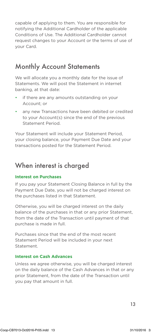capable of applying to them. You are responsible for notifying the Additional Cardholder of the applicable Conditions of Use. The Additional Cardholder cannot request changes to your Account or the terms of use of your Card.

### Monthly Account Statements

We will allocate you a monthly date for the issue of Statements. We will post the Statement in internet banking, at that date:

- if there are any amounts outstanding on your Account; or
- any new Transactions have been debited or credited to your Account(s) since the end of the previous Statement Period.

Your Statement will include your Statement Period, your closing balance, your Payment Due Date and your transactions posted for the Statement Period.

### When interest is charged

#### **Interest on Purchases**

If you pay your Statement Closing Balance in full by the Payment Due Date, you will not be charged interest on the purchases listed in that Statement.

Otherwise, you will be charged interest on the daily balance of the purchases in that or any prior Statement, from the date of the Transaction until payment of that purchase is made in full.

Purchases since that the end of the most recent Statement Period will be included in your next **Statement** 

#### **Interest on Cash Advances**

Unless we agree otherwise, you will be charged interest on the daily balance of the Cash Advances in that or any prior Statement, from the date of the Transaction until you pay that amount in full.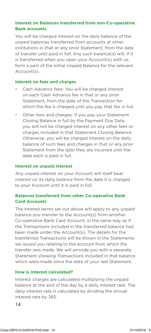#### **Interest on Balances transferred from non-Co-operative Bank accounts.**

You will be charged interest on the daily balance of the unpaid balances transferred from accounts at other institutions in that or any prior Statement, from the date of transfer until paid in full. Any such balance(s) will, if it is transferred when you open your Account(s) with us, form a part of the Initial Unpaid Balance for the relevant Account(s).

#### **Interest on fees and charges**

- Cash Advance fees: You will be charged interest on each Cash Advance fee in that or any prior Statement, from the date of the Transaction for which the fee is charged until you pay that fee in full.
- Other fees and charges: If you pay your Statement Closing Balance in full by the Payment Due Date, you will not be charged interest on any other fees or charges included in that Statement Closing Balance. Otherwise, you will be charged interest on the daily balance of such fees and charges in that or any prior Statement from the date they are incurred until the date each is paid in full.

#### **Interest on unpaid interest**

Any unpaid interest on your Account will itself bear interest on its daily balance from the date it is charged to your Account until it is paid in full.

#### **Balances transferred from other Co-operative Bank Card Accounts**

The interest terms set out above will apply to any unpaid balance you transfer to the Account(s) from another Co-operative Bank Card Account, in the same way as if the Transactions included in the transferred balance had been made under the Account(s). The details for the transferred Transactions will be shown in the Statements we issued you relating to the account from which the transfer was made. We will provide you with a separate Statement showing Transactions included in that balance which were made since the date of your last Statement.

#### **How is interest calculated?**

interest rate by 365. Interest charges are calculated multiplying the unpaid balance at the end of the day by a daily interest rate. The daily interest rate is calculated by dividing the annual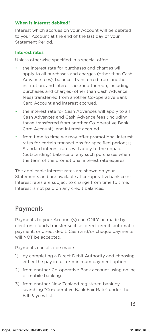#### **When is interest debited?**

Interest which accrues on your Account will be debited to your Account at the end of the last day of your Statement Period.

#### **Interest rates**

Unless otherwise specified in a special offer:

- the interest rate for purchases and charges will apply to all purchases and charges (other than Cash Advance fees), balances transferred from another institution, and interest accrued thereon, including purchases and charges (other than Cash Advance fees) transferred from another Co-operative Bank Card Account and interest accrued.
- the interest rate for Cash Advances will apply to all Cash Advances and Cash Advance fees (including those transferred from another Co-operative Bank Card Account), and interest accrued.
- from time to time we may offer promotional interest rates for certain transactions for specified period(s). Standard interest rates will apply to the unpaid (outstanding) balance of any such purchases when the term of the promotional interest rate expires.

The applicable interest rates are shown on your Statements and are available at co-operativebank.co.nz. Interest rates are subject to change from time to time. Interest is not paid on any credit balances.

### **Payments**

Payments to your Account(s) can ONLY be made by electronic funds transfer such as direct credit, automatic payment, or direct debit. Cash and/or cheque payments will NOT be accepted.

Payments can also be made:

- 1) by completing a Direct Debit Authority and choosing either the pay in full or minimum payment option.
- 2) from another Co-operative Bank account using online or mobile banking.
- 3) from another New Zealand registered bank by searching "Co-operative Bank Fair Rate" under the Bill Payees list.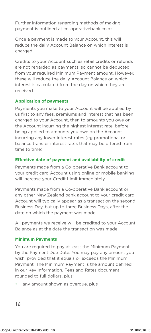Further information regarding methods of making payment is outlined at co-operativebank.co.nz.

Once a payment is made to your Account, this will reduce the daily Account Balance on which interest is charged.

Credits to your Account such as retail credits or refunds are not regarded as payments, so cannot be deducted from your required Minimum Payment amount. However, these will reduce the daily Account Balance on which interest is calculated from the day on which they are received.

#### **Application of payments**

Payments you make to your Account will be applied by us first to any fees, premiums and interest that has been charged to your Account, then to amounts you owe on the Account incurring the highest interest rate, before being applied to amounts you owe on the Account incurring any lower interest rates (eg promotional or balance transfer interest rates that may be offered from time to time).

#### **Effective date of payment and availability of credit**

Payments made from a Co-operative Bank account to your credit card Account using online or mobile banking will increase your Credit Limit immediately.

Payments made from a Co-operative Bank account or any other New Zealand bank account to your credit card Account will typically appear as a transaction the second Business Day, but up to three Business Days, after the date on which the payment was made.

All payments we receive will be credited to your Account Balance as at the date the transaction was made.

#### **Minimum Payments**

You are required to pay at least the Minimum Payment by the Payment Due Date. You may pay any amount you wish, provided that it equals or exceeds the Minimum Payment. The Minimum Payment is the amount defined in our Key Information, Fees and Rates document, rounded to full dollars, plus:

any amount shown as overdue, plus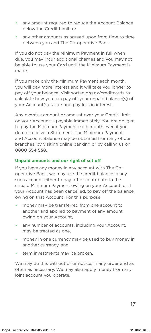- any amount required to reduce the Account Balance below the Credit Limit, or
- any other amounts as agreed upon from time to time between you and The Co-operative Bank.

If you do not pay the Minimum Payment in full when due, you may incur additional charges and you may not be able to use your Card until the Minimum Payment is made.

If you make only the Minimum Payment each month, you will pay more interest and it will take you longer to pay off your balance. Visit sorted.org.nz/creditcards to calculate how you can pay off your unpaid balance(s) of your Account(s) faster and pay less in interest.

Any overdue amount or amount over your Credit Limit on your Account is payable immediately. You are obliged to pay the Minimum Payment each month even if you do not receive a Statement. The Minimum Payment and Account Balance may be obtained from any of our branches, by visiting online banking or by calling us on **0800 554 558**.

#### **Unpaid amounts and our right of set off**

If you have any money in any account with The Cooperative Bank, we may use the credit balance in any such account either to pay off or contribute to the unpaid Minimum Payment owing on your Account, or if your Account has been cancelled, to pay off the balance owing on that Account. For this purpose:

- money may be transferred from one account to another and applied to payment of any amount owing on your Account,
- any number of accounts, including your Account, may be treated as one,
- money in one currency may be used to buy money in another currency, and
- term investments may be broken.

We may do this without prior notice, in any order and as often as necessary. We may also apply money from any joint account you operate.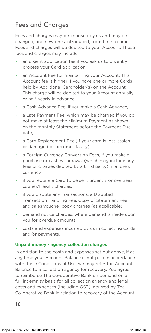### Fees and Charaes

Fees and charges may be imposed by us and may be changed, and new ones introduced, from time to time. Fees and charges will be debited to your Account. Those fees and charges may include:

- an urgent application fee if you ask us to urgently process your Card application,
- an Account Fee for maintaining your Account. This Account fee is higher if you have one or more Cards held by Additional Cardholder(s) on the Account. This charge will be debited to your Account annually or half-yearly in advance,
- a Cash Advance Fee, if you make a Cash Advance,
- a Late Payment Fee, which may be charged if you do not make at least the Minimum Payment as shown on the monthly Statement before the Payment Due date,
- a Card Replacement Fee (if your card is lost, stolen or damaged or becomes faulty),
- a Foreign Currency Conversion Fees, if you make a purchase or cash withdrawal (which may include any fees or charges debited by a third party) in a foreign currency,
- if you require a Card to be sent urgently or overseas, courier/freight charges,
- if you dispute any Transactions, a Disputed Transaction Handling Fee, Copy of Statement Fee and sales voucher copy charges (as applicable),
- demand notice charges, where demand is made upon you for overdue amounts,
- costs and expenses incurred by us in collecting Cards and/or payments.

#### **Unpaid money - agency collection charges**

Co-operative Bank in relation to recovery of the Account In addition to the costs and expenses set out above, if at any time your Account Balance is not paid in accordance with these Conditions of Use, we may refer the Account Balance to a collection agency for recovery. You agree to reimburse The Co-operative Bank on demand on a full indemnity basis for all collection agency and legal costs and expenses (including GST) incurred by The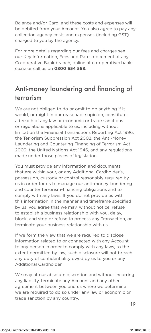Balance and/or Card, and these costs and expenses will be debited from your Account. You also agree to pay any collection agency costs and expenses (including GST) charged to you by the agency.

For more details regarding our fees and charges see our Key Information, Fees and Rates document at any Co-operative Bank branch, online at co-operativecbank. co.nz or call us on **0800 554 558**.

### Anti-money laundering and financing of terrorism

We are not obliged to do or omit to do anything if it would, or might in our reasonable opinion, constitute a breach of any law or economic or trade sanctions or regulations applicable to us, including without limitation the Financial Transactions Reporting Act 1996, the Terrorism Suppression Act 2002, the Anti-Money Laundering and Countering Financing of Terrorism Act 2009, the United Nations Act 1946, and any regulations made under those pieces of legislation.

You must provide any information and documents that are within your, or any Additional Cardholder's, possession, custody or control reasonably required by us in order for us to manage our anti-money laundering and counter terrorism-financing obligations and to comply with any laws. If you do not provide us with this information in the manner and timeframe specified by us, you agree that we may, without notice, refuse to establish a business relationship with you, delay, block, and stop or refuse to process any Transaction, or terminate your business relationship with us.

If we form the view that we are required to disclose information related to or connected with any Account to any person in order to comply with any laws, to the extent permitted by law, such disclosure will not breach any duty of confidentiality owed by us to you or any Additional Cardholder.

we are required to do so under any law or economic or<br>trade sanction by any country We may at our absolute discretion and without incurring any liability, terminate any Account and any other agreement between you and us where we determine trade sanction by any country.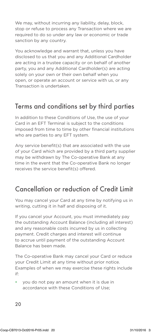We may, without incurring any liability, delay, block, stop or refuse to process any Transaction where we are required to do so under any law or economic or trade sanction by any country.

You acknowledge and warrant that, unless you have disclosed to us that you and any Additional Cardholder are acting in a trustee capacity or on behalf of another party, you and any Additional Cardholder(s) are acting solely on your own or their own behalf when you open, or operate an account or service with us, or any Transaction is undertaken.

### Terms and conditions set by third parties

In addition to these Conditions of Use, the use of your Card in an EFT Terminal is subject to the conditions imposed from time to time by other financial institutions who are parties to any EFT system.

Any service benefit(s) that are associated with the use of your Card which are provided by a third party supplier may be withdrawn by The Co-operative Bank at any time in the event that the Co-operative Bank no longer receives the service benefit(s) offered.

### Cancellation or reduction of Credit Limit

You may cancel your Card at any time by notifying us in writing, cutting it in half and disposing of it.

If you cancel your Account, you must immediately pay the outstanding Account Balance (including all interest) and any reasonable costs incurred by us in collecting payment. Credit charges and interest will continue to accrue until payment of the outstanding Account Balance has been made.

The Co-operative Bank may cancel your Card or reduce your Credit Limit at any time without prior notice. Examples of when we may exercise these rights include if:

• you do not pay an amount when it is due in accordance with these Conditions of Use;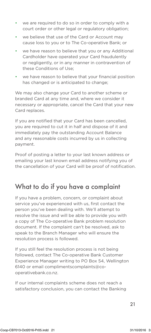- we are required to do so in order to comply with a court order or other legal or regulatory obligation;
- we believe that use of the Card or Account may cause loss to you or to The Co-operative Bank; or
- we have reason to believe that you or any Additional Cardholder have operated your Card fraudulently or negligently, or in any manner in contravention of these Conditions of Use;
- we have reason to believe that your financial position has changed or is anticipated to change;

We may also change your Card to another scheme or branded Card at any time and, where we consider it necessary or appropriate, cancel the Card that your new Card replaces.

If you are notified that your Card has been cancelled, you are required to cut it in half and dispose of it and immediately pay the outstanding Account Balance and any reasonable costs incurred by us in collecting payment.

Proof of posting a letter to your last known address or emailing your last known email address notifying you of the cancellation of your Card will be proof of notification.

### What to do if you have a complaint

If you have a problem, concern, or complaint about service you've experienced with us, first contact the person you've been dealing with. We'll attempt to resolve the issue and will be able to provide you with a copy of The Co-operative Bank problem resolution document. If the complaint can't be resolved, ask to speak to the Branch Manager who will ensure the resolution process is followed.

If you still feel the resolution process is not being followed, contact The Co-operative Bank Customer Experience Manager writing to PO Box 54, Wellington 6140 or email complimentscomplaints@cooperativebank.co.nz.

If our internal complaints scheme does not reach a satisfactory conclusion, you can contact the Banking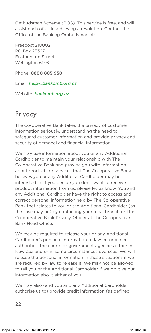Ombudsman Scheme (BOS). This service is free, and will assist each of us in achieving a resolution. Contact the Office of the Banking Ombudsman at:

Freepost 218002 PO Box 25327 Featherston Street Wellington 6146

Phone: **0800 805 950**

Email: *help@bankomb.org.nz*

Website: *bankomb.org.nz*

### **Privacy**

The Co-operative Bank takes the privacy of customer information seriously, understanding the need to safeguard customer information and provide privacy and security of personal and financial information.

We may use information about you or any Additional Cardholder to maintain your relationship with The Co-operative Bank and provide you with information about products or services that The Co-operative Bank believes you or any Additional Cardholder may be interested in. If you decide you don't want to receive product information from us, please let us know. You and any Additional Cardholder have the right to access and correct personal information held by The Co-operative Bank that relates to you or the Additional Cardholder (as the case may be) by contacting your local branch or The Co-operative Bank Privacy Officer at The Co-operative Bank Head Office.

We may be required to release your or any Additional Cardholder's personal information to law enforcement authorities, the courts or government agencies either in New Zealand or in some circumstances overseas. We will release the personal information in these situations if we are required by law to release it. We may not be allowed to tell you or the Additional Cardholder if we do give out information about either of you.

We may also (and you and any Additional Cardholder authorise us to) provide credit information (as defined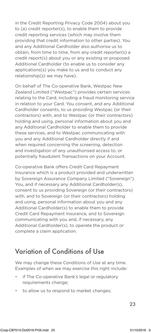in the Credit Reporting Privacy Code 2004) about you to (a) credit reporter(s), to enable them to provide credit reporting services (which may involve them providing that credit information to other parties). You and any Additional Cardholder also authorise us to obtain, from time to time, from any credit reporter(s) a credit report(s) about you or any existing or proposed Additional Cardholder (to enable us to consider any applications(s) you make to us and to conduct any relationship(s) we may have).

On behalf of The Co-operative Bank, Westpac New Zealand Limited ("Westpac") provides certain services relating to the Card, including a fraud monitoring service in relation to your Card. You consent, and any Additional Cardholder consents, to us providing Westpac (or their contractors) with, and to Westpac (or their contractors) holding and using, personal information about you and any Additional Cardholder to enable them to provide these services, and to Westpac communicating with you and any Additional Cardholder directly if and when required concerning the screening, detection and investigation of any unauthorised access to, or potentially fraudulent Transactions on your Account.

Co-operative Bank offers Credit Card Repayment Insurance which is a product provided and underwritten by Sovereign Assurance Company Limited ("Sovereign"). You, and if necessary any Additional Cardholder(s), consent to us providing Sovereign (or their contractors) with, and to Sovereign (or their contractors) holding and using, personal information about you and any Additional Cardholder(s) to enable them to provide Credit Card Repayment Insurance, and to Sovereign communicating with you and, if necessary, any Additional Cardholder(s), to operate the product or complete a claim application.

### Variation of Conditions of Use

We may change these Conditions of Use at any time. Examples of when we may exercise this right include:

- if The Co-operative Bank's legal or regulatory requirements change;
- to allow us to respond to market changes;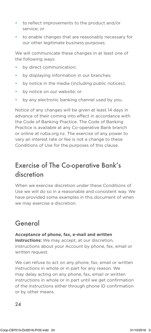- to reflect improvements to the product and/or service; or
- to enable changes that are reasonably necessary for our other legitimate business purposes.

We will communicate these changes in at least one of the following ways:

- by direct communication;
- by displaying information in our branches;
- by notice in the media (including public notices);
- by notice on our website; or
- by any electronic banking channel used by you.

Notice of any changes will be given at least 14 days in advance of their coming into effect in accordance with the Code of Banking Practice. The Code of Banking Practice is available at any Co-operative Bank branch or online at nzba.org.nz. The exercise of any power to vary an interest rate or fee is not a change to these Conditions of Use for the purposes of this clause.

### Exercise of The Co-operative Bank's discretion

When we exercise discretion under these Conditions of Use we will do so in a reasonable and consistent way. We have provided some examples in this document of when we may exercise a discretion.

### General

**Acceptance of phone, fax, e-mail and written instructions:** We may accept, at our discretion, instructions about your Account by phone, fax, email or written request.

 $\mathbb{R}^2$ We can refuse to act on any phone, fax, email or written instructions in whole or in part for any reason. We may delay acting on any phone, fax, email or written instructions in whole or in part until we get confirmation of the instructions either through phone ID confirmation or by other means.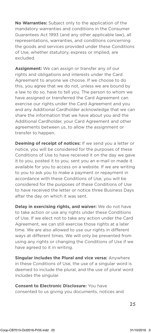**No Warranties:** Subject only to the application of the mandatory warranties and conditions in the Consumer Guarantees Act 1993 (and any other applicable law), all representations, warranties, and conditions concerning the goods and services provided under these Conditions of Use, whether statutory, express or implied, are excluded.

**Assignment:** We can assign or transfer any of our rights and obligations and interests under the Card Agreement to anyone we choose. If we choose to do this, you agree that we do not, unless we are bound by a law to do so, have to tell you. The person to whom we have assigned or transferred the Card Agreement can exercise our rights under the Card Agreement and you and any Additional Cardholder acknowledge that we can share the information that we have about you and the Additional Cardholder, your Card Agreement and other agreements between us, to allow the assignment or transfer to happen.

**Deeming of receipt of notices:** If we send you a letter or notice, you will be considered for the purposes of these Conditions of Use to have received it on the day we gave it to you, posted it to you, sent you an e-mail or made it available for you to access on a website. If we are writing to you to ask you to make a payment or repayment in accordance with these Conditions of Use, you will be considered for the purposes of these Conditions of Use to have received the letter or notice three Business Days after the day on which it was sent.

**Delay in exercising rights, and waiver:** We do not have to take action or use any rights under these Conditions of Use. If we elect not to take any action under the Card Agreement, we can still exercise those rights at a later time. We are also allowed to use our rights in different ways at different times. We will only be prevented from using any rights or changing the Conditions of Use if we have agreed to it in writing.

**Singular includes the Plural and vice versa:** Anywhere in these Conditions of Use, the use of a singular word is deemed to include the plural, and the use of plural word includes the singular.

**Consent to Electronic Disclosure:** You have consented to us giving you documents, notices and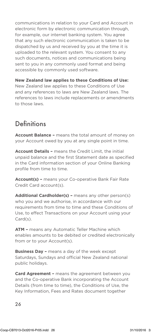communications in relation to your Card and Account in electronic form by electronic communication through, for example, our internet banking system. You agree that any such electronic communication is taken to be dispatched by us and received by you at the time it is uploaded to the relevant system. You consent to any such documents, notices and communications being sent to you in any commonly used format and being accessible by commonly used software.

**New Zealand law applies to these Conditions of Use:** New Zealand law applies to these Conditions of Use and any references to laws are New Zealand laws. The references to laws include replacements or amendments to those laws.

### Definitions

**Account Balance –** means the total amount of money on your Account owed by you at any single point in time.

**Account Details –** means the Credit Limit, the initial unpaid balance and the first Statement date as specified in the Card information section of your Online Banking profile from time to time.

**Account(s) –** means your Co-operative Bank Fair Rate Credit Card account(s).

**Additional Cardholder(s) –** means any other person(s) who you and we authorise, in accordance with our requirements from time to time and these Conditions of Use, to effect Transactions on your Account using your Card(s).

**ATM –** means any Automatic Teller Machine which enables amounts to be debited or credited electronically from or to your Account(s).

**Business Day –** means a day of the week except Saturdays, Sundays and official New Zealand national public holidays.

**Card Agreement –** means the agreement between you and the Co-operative Bank incorporating the Account Details (from time to time), the Conditions of Use, the Key Information, Fees and Rates document together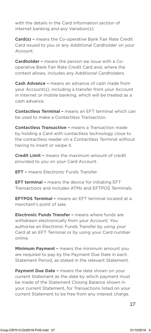with the details in the Card Information section of internet banking and any Variation(s).

**Card(s) –** means the Co-operative Bank Fair Rate Credit Card issued to you or any Additional Cardholder on your Account.

**Cardholder –** means the person we issue with a Cooperative Bank Fair Rate Credit Card and, where the context allows, includes any Additional Cardholders.

**Cash Advance –** means an advance of cash made from your Account(s), including a transfer from your Account in internet or mobile banking, which will be treated as a cash advance.

**Contactless Terminal –** means an EFT terminal which can be used to make a Contactless Transaction.

**Contactless Transaction –** means a Transaction made by holding a Card with contactless technology close to the contactless reader on a Contactless Terminal without having to insert or swipe it.

**Credit Limit –** means the maximum amount of credit provided to you on your Card Account.

**EFT –** means Electronic Funds Transfer.

**EFT terminal –** means the device for initiating EFT Transactions and includes ATMs and EFTPOS Terminals.

**EFTPOS Terminal –** means an EFT terminal located at a merchant's point of sale.

**Electronic Funds Transfer –** means where funds are withdrawn electronically from your Account. You authorise an Electronic Funds Transfer by using your Card at an EFT Terminal or by using your Card number online.

**Minimum Payment –** means the minimum amount you are required to pay by the Payment Due Date in each Statement Period, as stated in the relevant Statement.

current Statement to be free from any interest charge. **Payment Due Date -** means the date shown on your current Statement as the date by which payment must be made of the Statement Closing Balance shown in your current Statement, for Transactions listed on your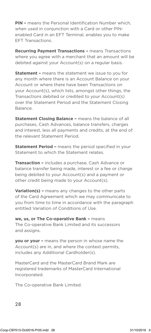**PIN –** means the Personal Identification Number which, when used in conjunction with a Card or other PINenabled Card in an EFT Terminal, enables you to make EFT Transactions.

**Recurring Payment Transactions –** means Transactions where you agree with a merchant that an amount will be debited against your Account(s) on a regular basis.

**Statement –** means the statement we issue to you for any month where there is an Account Balance on your Account or where there have been Transactions on your Account(s), which lists, amongst other things, the Transactions debited or credited to your Account(s) over the Statement Period and the Statement Closing Balance.

**Statement Closing Balance –** means the balance of all purchases, Cash Advances, balance transfers, charges and interest, less all payments and credits, at the end of the relevant Statement Period.

**Statement Period –** means the period specified in your Statement to which the Statement relates.

**Transaction –** includes a purchase, Cash Advance or balance transfer being made, interest or a fee or charge being debited to your Account(s) and a payment or other credit being made to your Account(s).

**Variation(s) –** means any changes to the other parts of the Card Agreement which we may communicate to you from time to time in accordance with the paragraph entitled Variation of Conditions of Use.

**we, us, or The Co-operative Bank –** means The Co-operative Bank Limited and its successors and assigns.

**you or your –** means the person in whose name the Account(s) are in, and where the context permits, includes any Additional Cardholder(s).

MasterCard and the MasterCard Brand Mark are registered trademarks of MasterCard International Incorporated.

The Co-operative Bank Limited.